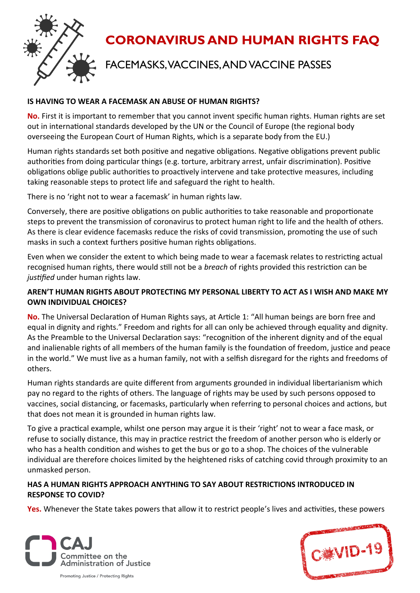

# **CORONAVIRUS AND HUMAN RIGHTS FAQ**

# FACEMASKS, VACCINES, AND VACCINE PASSES

#### **IS HAVING TO WEAR A FACEMASK AN ABUSE OF HUMAN RIGHTS?**

**No.** First it is important to remember that you cannot invent specific human rights. Human rights are set out in international standards developed by the UN or the Council of Europe (the regional body overseeing the European Court of Human Rights, which is a separate body from the EU.)

Human rights standards set both positive and negative obligations. Negative obligations prevent public authorities from doing particular things (e.g. torture, arbitrary arrest, unfair discrimination). Positive obligations oblige public authorities to proactively intervene and take protective measures, including taking reasonable steps to protect life and safeguard the right to health.

There is no 'right not to wear a facemask' in human rights law.

Conversely, there are positive obligations on public authorities to take reasonable and proportionate steps to prevent the transmission of coronavirus to protect human right to life and the health of others. As there is clear evidence facemasks reduce the risks of covid transmission, promoting the use of such masks in such a context furthers positive human rights obligations.

Even when we consider the extent to which being made to wear a facemask relates to restricting actual recognised human rights, there would still not be a *breach* of rights provided this restriction can be *justified* under human rights law.

#### **AREN'T HUMAN RIGHTS ABOUT PROTECTING MY PERSONAL LIBERTY TO ACT AS I WISH AND MAKE MY OWN INDIVIDUAL CHOICES?**

**No.** The Universal Declaration of Human Rights says, at Article 1: "All human beings are born free and equal in dignity and rights." Freedom and rights for all can only be achieved through equality and dignity. As the Preamble to the Universal Declaration says: "recognition of the inherent dignity and of the equal and inalienable rights of all members of the human family is the foundation of freedom, justice and peace in the world." We must live as a human family, not with a selfish disregard for the rights and freedoms of others.

Human rights standards are quite different from arguments grounded in individual libertarianism which pay no regard to the rights of others. The language of rights may be used by such persons opposed to vaccines, social distancing, or facemasks, particularly when referring to personal choices and actions, but that does not mean it is grounded in human rights law.

To give a practical example, whilst one person may argue it is their 'right' not to wear a face mask, or refuse to socially distance, this may in practice restrict the freedom of another person who is elderly or who has a health condition and wishes to get the bus or go to a shop. The choices of the vulnerable individual are therefore choices limited by the heightened risks of catching covid through proximity to an unmasked person.

## **HAS A HUMAN RIGHTS APPROACH ANYTHING TO SAY ABOUT RESTRICTIONS INTRODUCED IN RESPONSE TO COVID?**

**Yes.** Whenever the State takes powers that allow it to restrict people's lives and activities, these powers



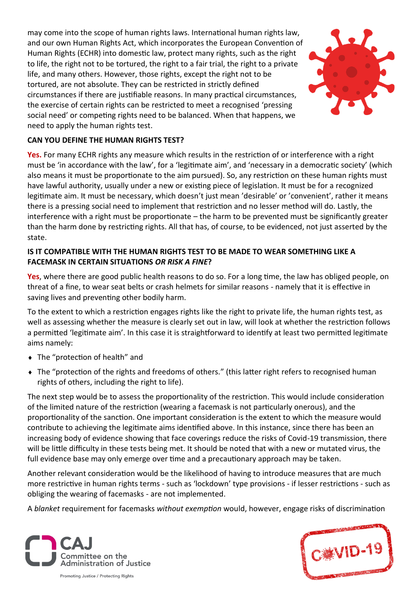may come into the scope of human rights laws. International human rights law, and our own Human Rights Act, which incorporates the European Convention of Human Rights (ECHR) into domestic law, protect many rights, such as the right to life, the right not to be tortured, the right to a fair trial, the right to a private life, and many others. However, those rights, except the right not to be tortured, are not absolute. They can be restricted in strictly defined circumstances if there are justifiable reasons. In many practical circumstances, the exercise of certain rights can be restricted to meet a recognised 'pressing social need' or competing rights need to be balanced. When that happens, we need to apply the human rights test.



#### **CAN YOU DEFINE THE HUMAN RIGHTS TEST?**

**Yes.** For many ECHR rights any measure which results in the restriction of or interference with a right must be 'in accordance with the law', for a 'legitimate aim', and 'necessary in a democratic society' (which also means it must be proportionate to the aim pursued). So, any restriction on these human rights must have lawful authority, usually under a new or existing piece of legislation. It must be for a recognized legitimate aim. It must be necessary, which doesn't just mean 'desirable' or 'convenient', rather it means there is a pressing social need to implement that restriction and no lesser method will do. Lastly, the interference with a right must be proportionate – the harm to be prevented must be significantly greater than the harm done by restricting rights. All that has, of course, to be evidenced, not just asserted by the state.

#### **IS IT COMPATIBLE WITH THE HUMAN RIGHTS TEST TO BE MADE TO WEAR SOMETHING LIKE A FACEMASK IN CERTAIN SITUATIONS** *OR RISK A FINE***?**

**Yes**, where there are good public health reasons to do so. For a long time, the law has obliged people, on threat of a fine, to wear seat belts or crash helmets for similar reasons - namely that it is effective in saving lives and preventing other bodily harm.

To the extent to which a restriction engages rights like the right to private life, the human rights test, as well as assessing whether the measure is clearly set out in law, will look at whether the restriction follows a permitted 'legitimate aim'. In this case it is straightforward to identify at least two permitted legitimate aims namely:

- The "protection of health" and
- The "protection of the rights and freedoms of others." (this latter right refers to recognised human rights of others, including the right to life).

The next step would be to assess the proportionality of the restriction. This would include consideration of the limited nature of the restriction (wearing a facemask is not particularly onerous), and the proportionality of the sanction. One important consideration is the extent to which the measure would contribute to achieving the legitimate aims identified above. In this instance, since there has been an increasing body of evidence showing that face coverings reduce the risks of Covid-19 transmission, there will be little difficulty in these tests being met. It should be noted that with a new or mutated virus, the full evidence base may only emerge over time and a precautionary approach may be taken.

Another relevant consideration would be the likelihood of having to introduce measures that are much more restrictive in human rights terms - such as 'lockdown' type provisions - if lesser restrictions - such as obliging the wearing of facemasks - are not implemented.

A *blanket* requirement for facemasks *without exemption* would, however, engage risks of discrimination



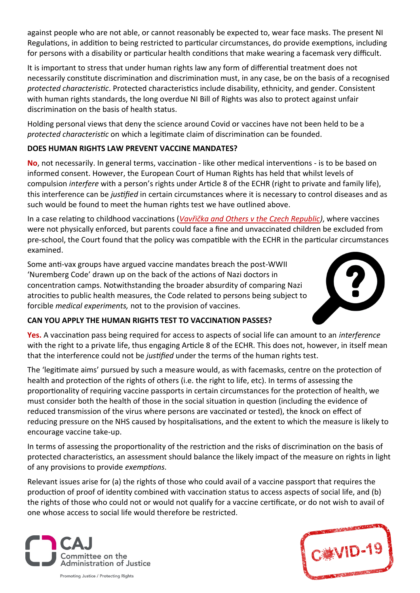against people who are not able, or cannot reasonably be expected to, wear face masks. The present NI Regulations, in addition to being restricted to particular circumstances, do provide exemptions, including for persons with a disability or particular health conditions that make wearing a facemask very difficult.

It is important to stress that under human rights law any form of differential treatment does not necessarily constitute discrimination and discrimination must, in any case, be on the basis of a recognised *protected characteristic*. Protected characteristics include disability, ethnicity, and gender. Consistent with human rights standards, the long overdue NI Bill of Rights was also to protect against unfair discrimination on the basis of health status.

Holding personal views that deny the science around Covid or vaccines have not been held to be a *protected characteristic* on which a legitimate claim of discrimination can be founded.

# **DOES HUMAN RIGHTS LAW PREVENT VACCINE MANDATES?**

**No**, not necessarily. In general terms, vaccination - like other medical interventions - is to be based on informed consent. However, the European Court of Human Rights has held that whilst levels of compulsion *interfere* with a person's rights under Article 8 of the ECHR (right to private and family life), this interference can be *justified* in certain circumstances where it is necessary to control diseases and as such would be found to meet the human rights test we have outlined above.

In a case relating to childhood vaccinations (*[Vavřička and Others v the Czech Republic\)](https://hudoc.echr.coe.int/eng#{%22fulltext%22:[%22Vav%C5%99i%C4%8Dka%20and%20Others%20v.%20the%20Czech%20Republic%22],%22documentcollectionid2%22:[%22GRANDCHAMBER%22,%22CHAMBER%22],%22itemid%22:[%22001-209039%22]})*, where vaccines were not physically enforced, but parents could face a fine and unvaccinated children be excluded from pre-school, the Court found that the policy was compatible with the ECHR in the particular circumstances examined.

Some anti-vax groups have argued vaccine mandates breach the post-WWII 'Nuremberg Code' drawn up on the back of the actions of Nazi doctors in concentration camps. Notwithstanding the broader absurdity of comparing Nazi atrocities to public health measures, the Code related to persons being subject to forcible *medical experiments,* not to the provision of vaccines.



# **CAN YOU APPLY THE HUMAN RIGHTS TEST TO VACCINATION PASSES?**

**Yes.** A vaccination pass being required for access to aspects of social life can amount to an *interference* with the right to a private life, thus engaging Article 8 of the ECHR. This does not, however, in itself mean that the interference could not be *justified* under the terms of the human rights test.

The 'legitimate aims' pursued by such a measure would, as with facemasks, centre on the protection of health and protection of the rights of others (i.e. the right to life, etc). In terms of assessing the proportionality of requiring vaccine passports in certain circumstances for the protection of health, we must consider both the health of those in the social situation in question (including the evidence of reduced transmission of the virus where persons are vaccinated or tested), the knock on effect of reducing pressure on the NHS caused by hospitalisations, and the extent to which the measure is likely to encourage vaccine take-up.

In terms of assessing the proportionality of the restriction and the risks of discrimination on the basis of protected characteristics, an assessment should balance the likely impact of the measure on rights in light of any provisions to provide *exemptions*.

Relevant issues arise for (a) the rights of those who could avail of a vaccine passport that requires the production of proof of identity combined with vaccination status to access aspects of social life, and (b) the rights of those who could not or would not qualify for a vaccine certificate, or do not wish to avail of one whose access to social life would therefore be restricted.